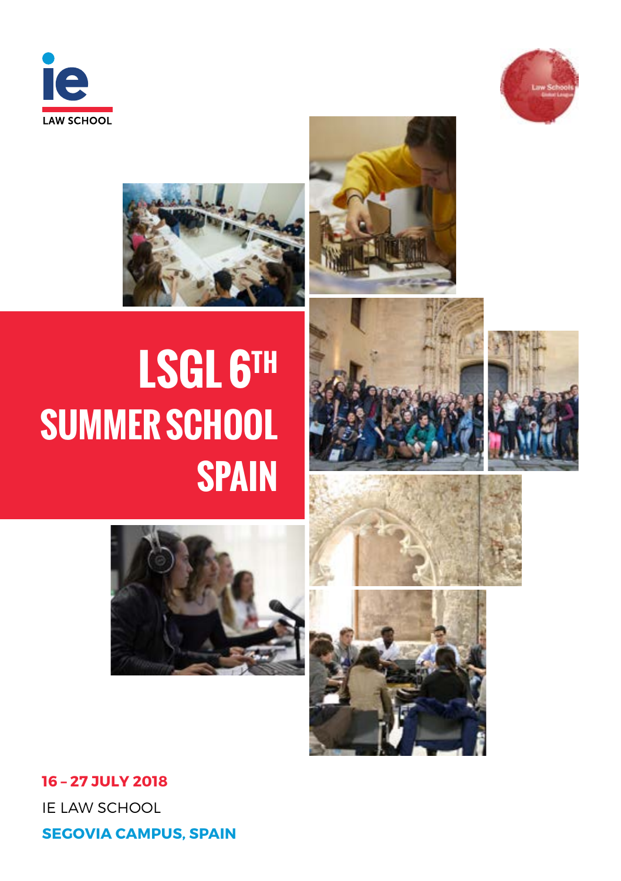















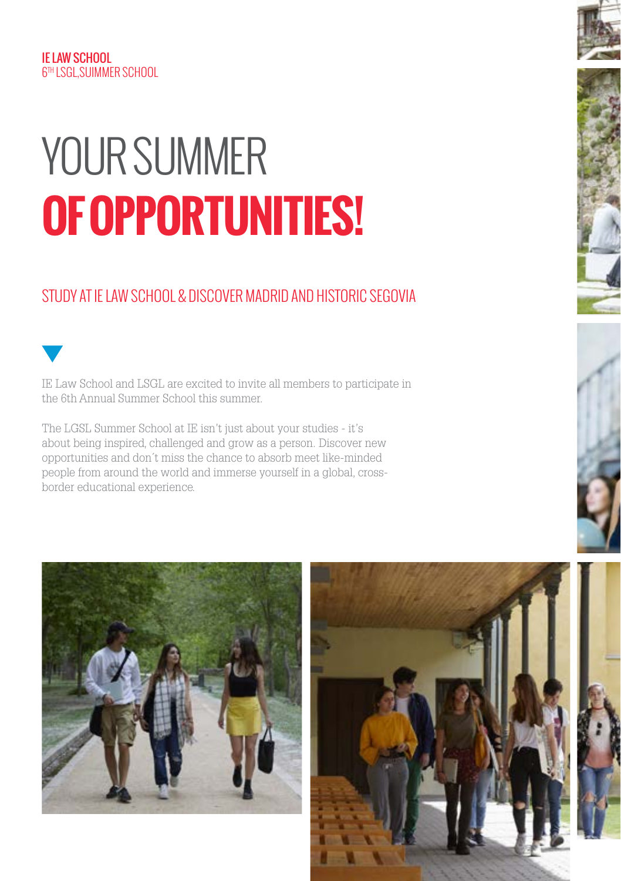#### IE LAW SCHOOL 6TH LSGL,SUIMMER SCHOOL

# **OF OPPORTUNITIES!** YOUR SUMMER

# STUDY AT IE LAW SCHOOL & DISCOVER MADRID AND HISTORIC SEGOVIA



IE Law School and LSGL are excited to invite all members to participate in the 6th Annual Summer School this summer.

The LGSL Summer School at IE isn't just about your studies - it's about being inspired, challenged and grow as a person. Discover new opportunities and don´t miss the chance to absorb meet like-minded people from around the world and immerse yourself in a global, crossborder educational experience.



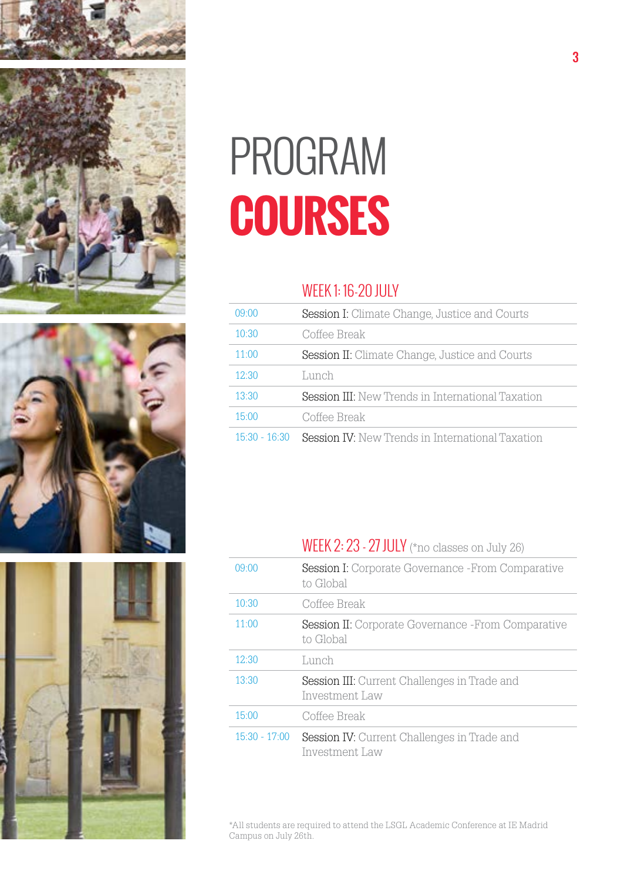





# **COURSES** PROGRAM

### WEEK 1: 16-20 JULY

| 09:00           | <b>Session I:</b> Climate Change, Justice and Courts     |
|-----------------|----------------------------------------------------------|
| 10:30           | Coffee Break                                             |
| 11:00           | <b>Session II:</b> Climate Change, Justice and Courts    |
| 12:30           | Lunch                                                    |
| 13:30           | <b>Session III:</b> New Trends in International Taxation |
| 15:00           | Coffee Break                                             |
| $15:30 - 16:30$ | <b>Session IV:</b> New Trends in International Taxation  |

## WEEK 2: 23 - 27 JULY (\*no classes on July 26)

| 09.00           | <b>Session I:</b> Corporate Governance -From Comparative<br>to Global  |
|-----------------|------------------------------------------------------------------------|
| 10:30           | Coffee Break                                                           |
| 11:00           | <b>Session II:</b> Corporate Governance -From Comparative<br>to Global |
| 12:30           | Lunch                                                                  |
| 13:30           | <b>Session III:</b> Current Challenges in Trade and<br>Investment Law  |
| 15:00           | Coffee Break                                                           |
| $15:30 - 17:00$ | <b>Session IV:</b> Current Challenges in Trade and<br>Investment Law   |

\*All students are required to attend the LSGL Academic Conference at IE Madrid Campus on July 26th.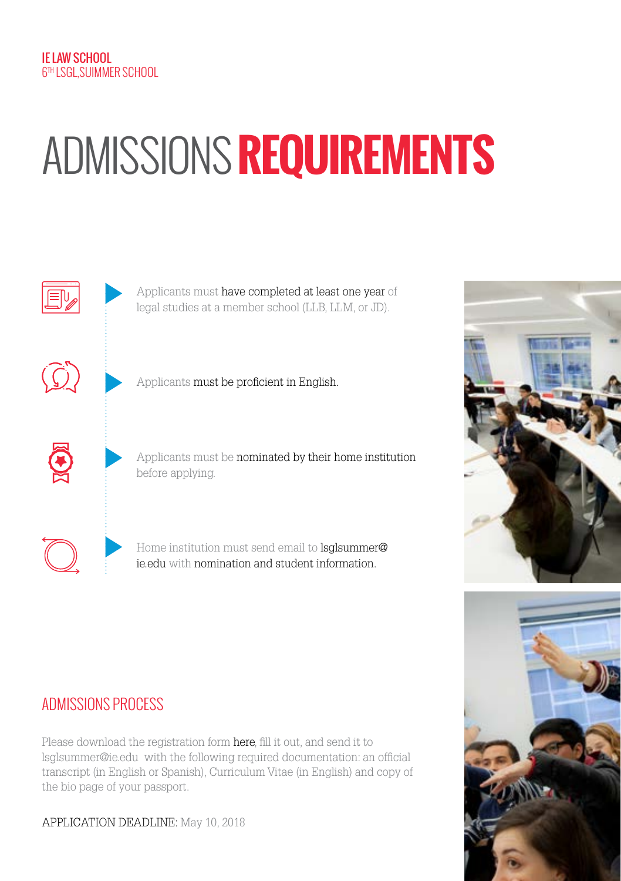# ADMISSIONS **REQUIREMENTS**





# ADMISSIONS PROCESS

Please download the registration form here, fill it out, and send it to lsglsummer@ie.edu with the following required documentation: an official transcript (in English or Spanish), Curriculum Vitae (in English) and copy of the bio page of your passport.

APPLICATION DEADLINE: May 10, 2018

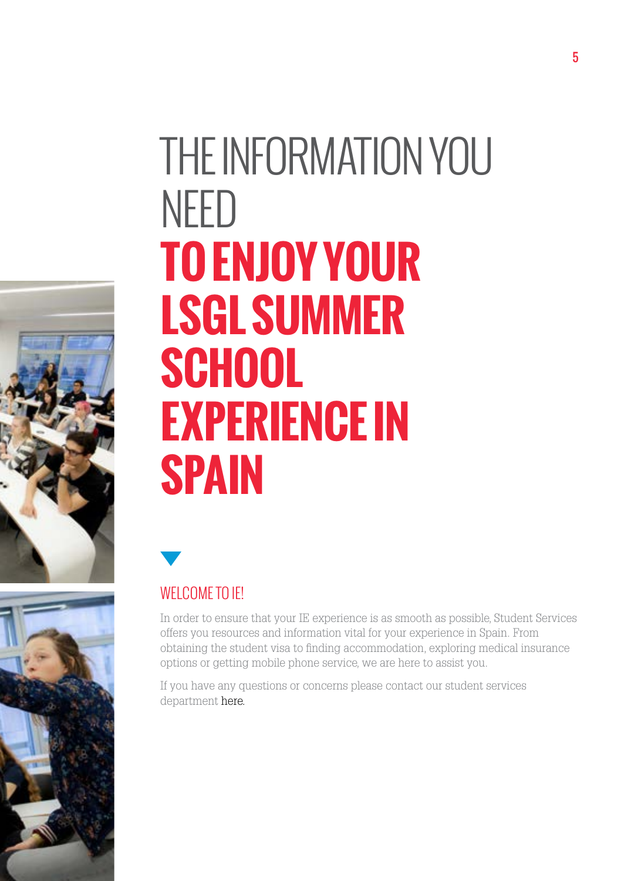



# THE INFORMATION YOU NEED **TO ENJOY YOUR LSGL SUMMER SCHOOL EXPERIENCE IN SPAIN**



# WELCOME TO **IF!**

In order to ensure that your IE experience is as smooth as possible, Student Services offers you resources and information vital for your experience in Spain. From obtaining the student visa to finding accommodation, exploring medical insurance options or getting mobile phone service, we are here to assist you.

If you have any questions or concerns please contact our student services departme[nt here.](https://www.ie.edu/student-services/basic-procedures/)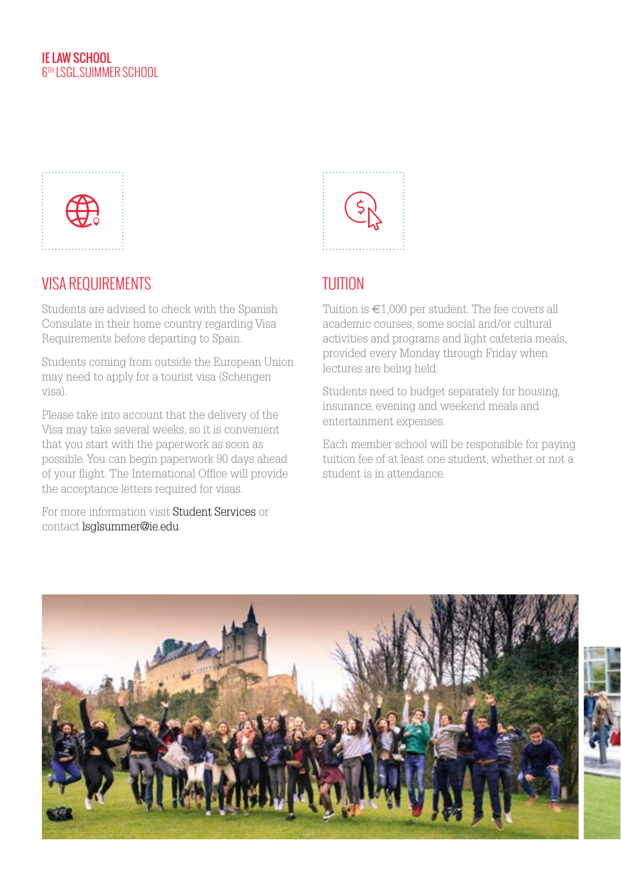

# VISA REQUIREMENTS

Students are advised to check with the Spanish Consulate in their home country regarding Visa Requirements before departing to Spain.

Students coming from outside the European Union may need to apply for a tourist visa (Schengen visa).

Please take into account that the delivery of the Visa may take several weeks, so it is convenient that you start with the paperwork as soon as possible. You can begin paperwork 90 days ahead of your flight. The International Office will provide the acceptance letters required for visas.

For more information [visit Student Services or](https://www.ie.edu/student-services/basic-procedures/) contact lsglsummer@ie.edu



# **TUITION**

Tuition is  $\in$  1.000 per student. The fee covers all academic courses, some social and/or cultural activities and programs and light cafeteria meals, provided every Monday through Friday when lectures are being held.

Students need to budget separately for housing, insurance, evening and weekend meals and entertainment expenses.

Each member school will be responsible for paying tuition fee of at least one student, whether or not a student is in attendance.

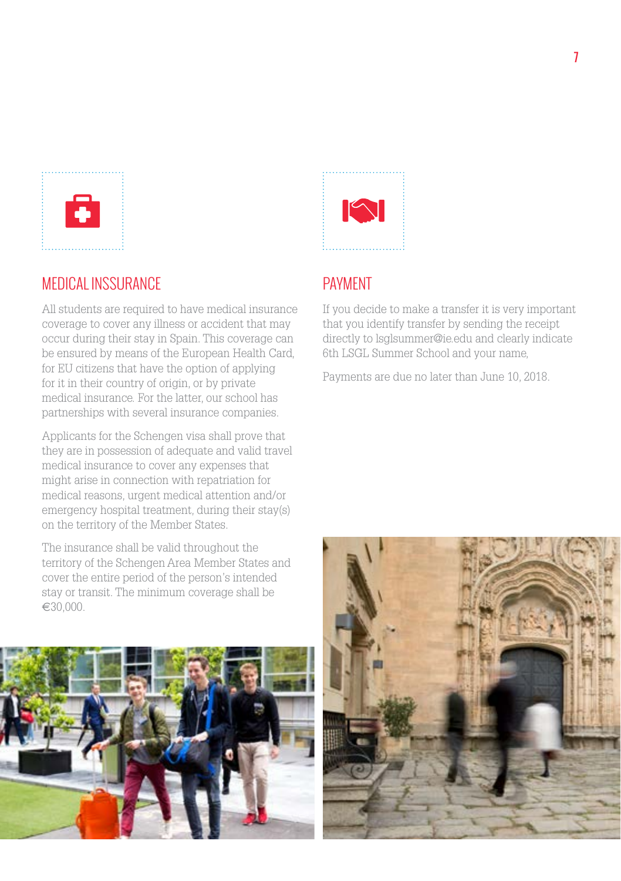

### MEDICAL INSSURANCE

All students are required to have medical insurance coverage to cover any illness or accident that may occur during their stay in Spain. This coverage can be ensured by means of the European Health Card, for EU citizens that have the option of applying for it in their country of origin, or by private medical insurance. For the latter, our school has partnerships with several insurance companies.

Applicants for the Schengen visa shall prove that they are in possession of adequate and valid travel medical insurance to cover any expenses that might arise in connection with repatriation for medical reasons, urgent medical attention and/or emergency hospital treatment, during their stay(s) on the territory of the Member States.

The insurance shall be valid throughout the territory of the Schengen Area Member States and cover the entire period of the person's intended stay or transit. The minimum coverage shall be €30,000.





# PAYMENT

If you decide to make a transfer it is very important that you identify transfer by sending the receipt directly to lsglsummer@ie.edu and clearly indicate 6th LSGL Summer School and your name,

Payments are due no later than June 10, 2018.

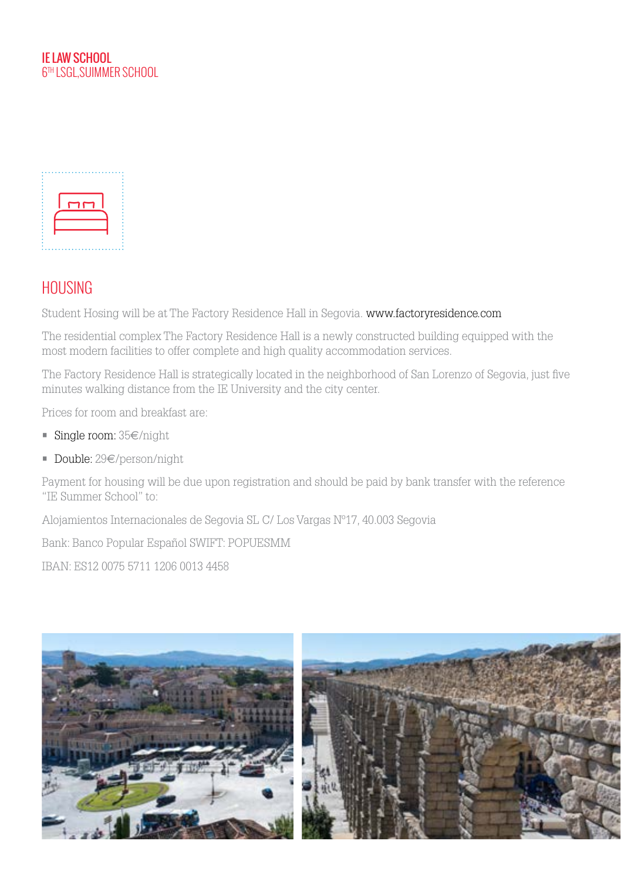



### **HOLISING**

Student Hosing will be at The Factory Residence Hall in Segovia. www.factoryresidence.com

The residential complex The Factory Residence Hall is a newly constructed building equipped with the most modern facilities to offer complete and high quality accommodation services.

The Factory Residence Hall is strategically located in the neighborhood of San Lorenzo of Segovia, just five minutes walking distance from the IE University and the city center.

Prices for room and breakfast are:

- Single room: 35€/night
- Double: 29€/person/night

Payment for housing will be due upon registration and should be paid by bank transfer with the reference "IE Summer School" to:

Alojamientos Internacionales de Segovia SL C/ Los Vargas Nº17, 40.003 Segovia

Bank: Banco Popular Español SWIFT: POPUESMM

IBAN: ES12 0075 5711 1206 0013 4458

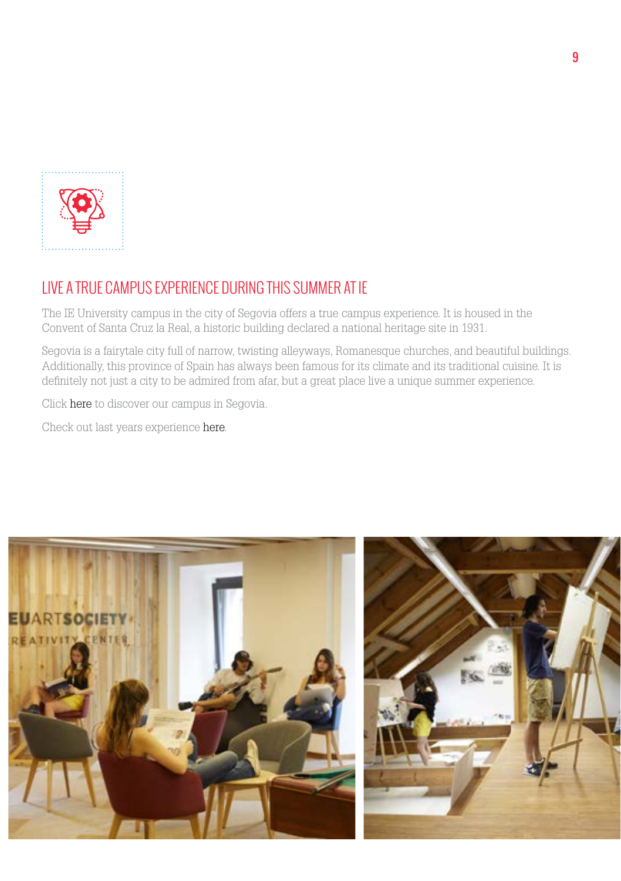

# LIVE A TRUE CAMPUS EXPERIENCE DURING THIS SUMMER AT IE

The IE University campus in the city of Segovia offers a true campus experience. It is housed in the Convent of Santa Cruz la Real, a historic building declared a national heritage site in 1931.

Segovia is a fairytale city full of narrow, twisting alleyways, Romanesque churches, and beautiful buildings. Additionally, this province of Spain has always been famous for its climate and its traditional cuisine. It is definitely not just a city to be admired from afar, but a great place live a unique summer experience.

Cli[ck here to](https://www.ie.edu/es/universidad/acerca-de/campus-de-segovia/) discover our campus in Segovia.

Check out last years experien[ce here.](https://lawschoolsgloballeague.com/event/5th-lsgl-summer-school-mexico-city-2017/) 

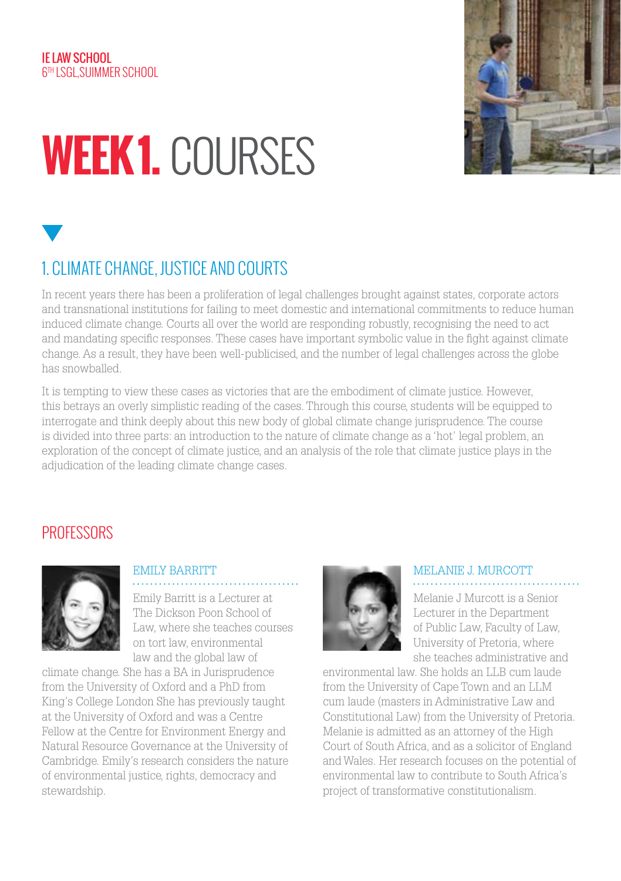#### IE LAW SCHOOL 6TH LSGL,SUIMMER SCHOOL

# **WEEK 1.** COURSES



# 1. CLIMATE CHANGE, JUSTICE AND COURTS

In recent years there has been a proliferation of legal challenges brought against states, corporate actors and transnational institutions for failing to meet domestic and international commitments to reduce human induced climate change. Courts all over the world are responding robustly, recognising the need to act and mandating specific responses. These cases have important symbolic value in the fight against climate change. As a result, they have been well-publicised, and the number of legal challenges across the globe has snowballed.

It is tempting to view these cases as victories that are the embodiment of climate justice. However, this betrays an overly simplistic reading of the cases. Through this course, students will be equipped to interrogate and think deeply about this new body of global climate change jurisprudence. The course is divided into three parts: an introduction to the nature of climate change as a 'hot' legal problem, an exploration of the concept of climate justice, and an analysis of the role that climate justice plays in the adjudication of the leading climate change cases.

# **PROFESSORS**



#### EMILY BARRITT

Emily Barritt is a Lecturer at The Dickson Poon School of Law, where she teaches courses on tort law, environmental law and the global law of

climate change. She has a BA in Jurisprudence from the University of Oxford and a PhD from King's College London She has previously taught at the University of Oxford and was a Centre Fellow at the Centre for Environment Energy and Natural Resource Governance at the University of Cambridge. Emily's research considers the nature of environmental justice, rights, democracy and stewardship.



### MELANIE J. MURCOTT

Melanie J Murcott is a Senior Lecturer in the Department of Public Law, Faculty of Law, University of Pretoria, where she teaches administrative and

environmental law. She holds an LLB cum laude from the University of Cape Town and an LLM cum laude (masters in Administrative Law and Constitutional Law) from the University of Pretoria. Melanie is admitted as an attorney of the High Court of South Africa, and as a solicitor of England and Wales. Her research focuses on the potential of environmental law to contribute to South Africa's project of transformative constitutionalism.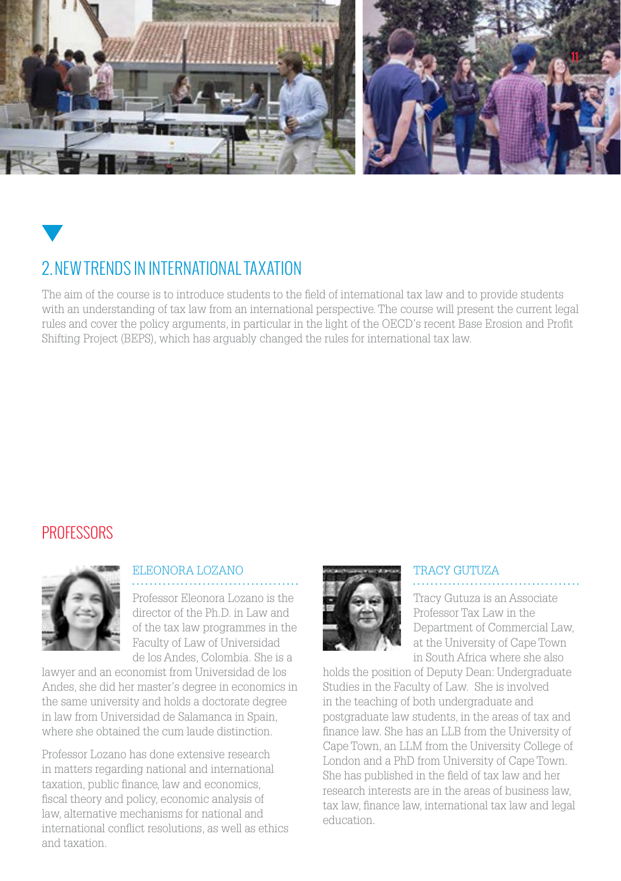

# 2.NEW TRENDS IN INTERNATIONAL TAXATION

The aim of the course is to introduce students to the field of international tax law and to provide students with an understanding of tax law from an international perspective. The course will present the current legal rules and cover the policy arguments, in particular in the light of the OECD's recent Base Erosion and Profit Shifting Project (BEPS), which has arguably changed the rules for international tax law.

## **PROFESSORS**



### ELEONORA LOZANO

Professor Eleonora Lozano is the director of the Ph.D. in Law and of the tax law programmes in the Faculty of Law of Universidad de los Andes, Colombia. She is a

lawyer and an economist from Universidad de los Andes, she did her master's degree in economics in the same university and holds a doctorate degree in law from Universidad de Salamanca in Spain, where she obtained the cum laude distinction.

Professor Lozano has done extensive research in matters regarding national and international taxation, public finance, law and economics, fiscal theory and policy, economic analysis of law, alternative mechanisms for national and international conflict resolutions, as well as ethics and taxation.



### TRACY GUTUZA

Tracy Gutuza is an Associate Professor Tax Law in the Department of Commercial Law, at the University of Cape Town in South Africa where she also

holds the position of Deputy Dean: Undergraduate Studies in the Faculty of Law. She is involved in the teaching of both undergraduate and postgraduate law students, in the areas of tax and finance law. She has an LLB from the University of Cape Town, an LLM from the University College of London and a PhD from University of Cape Town. She has published in the field of tax law and her research interests are in the areas of business law, tax law, finance law, international tax law and legal education.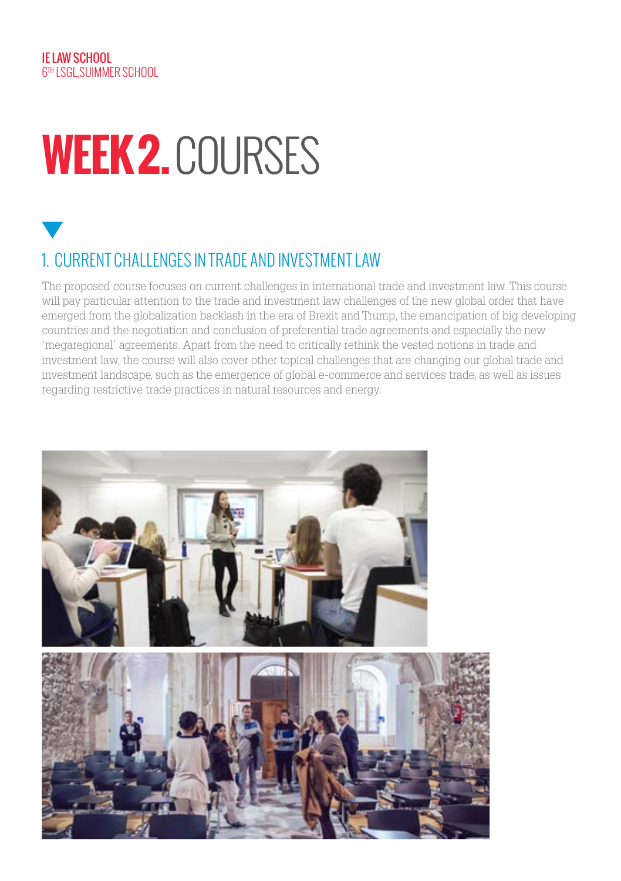# **WEEK 2.** COURSES

# 1. CURRENT CHALLENGES IN TRADE AND INVESTMENT LAW

The proposed course focuses on current challenges in international trade and investment law. This course will pay particular attention to the trade and investment law challenges of the new global order that have emerged from the globalization backlash in the era of Brexit and Trump, the emancipation of big developing countries and the negotiation and conclusion of preferential trade agreements and especially the new 'megaregional' agreements. Apart from the need to critically rethink the vested notions in trade and investment law, the course will also cover other topical challenges that are changing our global trade and investment landscape, such as the emergence of global e-commerce and services trade, as well as issues regarding restrictive trade practices in natural resources and energy.

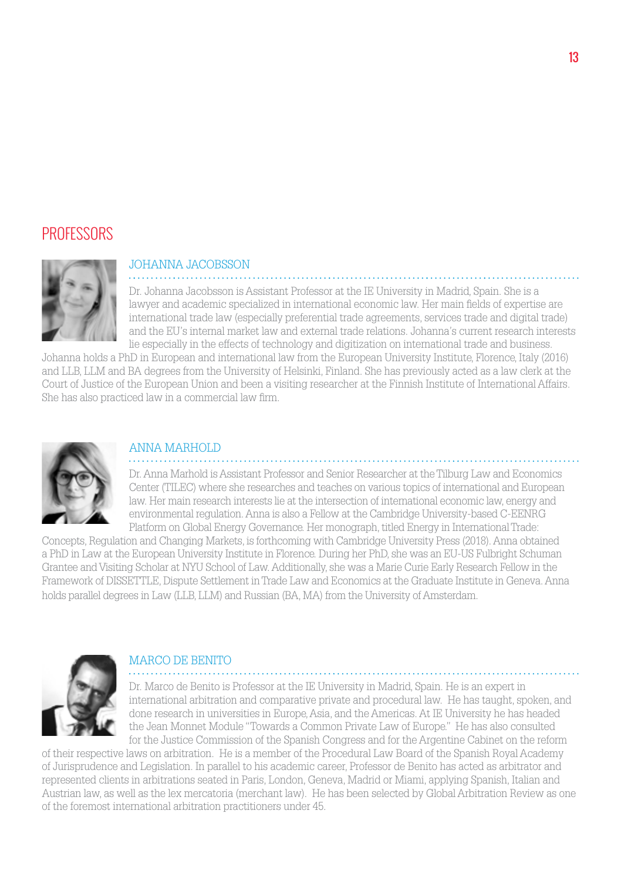### **PROFESSORS**



#### JOHANNA JACOBSSON

Dr. Johanna Jacobsson is Assistant Professor at the IE University in Madrid, Spain. She is a lawyer and academic specialized in international economic law. Her main fields of expertise are international trade law (especially preferential trade agreements, services trade and digital trade) and the EU's internal market law and external trade relations. Johanna's current research interests lie especially in the effects of technology and digitization on international trade and business.

Johanna holds a PhD in European and international law from the European University Institute, Florence, Italy (2016) and LLB, LLM and BA degrees from the University of Helsinki, Finland. She has previously acted as a law clerk at the Court of Justice of the European Union and been a visiting researcher at the Finnish Institute of International Affairs. She has also practiced law in a commercial law firm.



#### ANNA MARHOLD

Dr. Anna Marhold is Assistant Professor and Senior Researcher at the Tilburg Law and Economics Center (TILEC) where she researches and teaches on various topics of international and European law. Her main research interests lie at the intersection of international economic law, energy and environmental regulation. Anna is also a Fellow at the Cambridge University-based C-EENRG Platform on Global Energy Governance. Her monograph, titled Energy in International Trade:

Concepts, Regulation and Changing Markets, is forthcoming with Cambridge University Press (2018). Anna obtained a PhD in Law at the European University Institute in Florence. During her PhD, she was an EU-US Fulbright Schuman Grantee and Visiting Scholar at NYU School of Law. Additionally, she was a Marie Curie Early Research Fellow in the Framework of DISSETTLE, Dispute Settlement in Trade Law and Economics at the Graduate Institute in Geneva. Anna holds parallel degrees in Law (LLB, LLM) and Russian (BA, MA) from the University of Amsterdam.



#### MARCO DE BENITO

Dr. Marco de Benito is Professor at the IE University in Madrid, Spain. He is an expert in international arbitration and comparative private and procedural law. He has taught, spoken, and done research in universities in Europe, Asia, and the Americas. At IE University he has headed the Jean Monnet Module "Towards a Common Private Law of Europe." He has also consulted for the Justice Commission of the Spanish Congress and for the Argentine Cabinet on the reform

of their respective laws on arbitration. He is a member of the Procedural Law Board of the Spanish Royal Academy of Jurisprudence and Legislation. In parallel to his academic career, Professor de Benito has acted as arbitrator and represented clients in arbitrations seated in Paris, London, Geneva, Madrid or Miami, applying Spanish, Italian and Austrian law, as well as the lex mercatoria (merchant law). He has been selected by Global Arbitration Review as one of the foremost international arbitration practitioners under 45.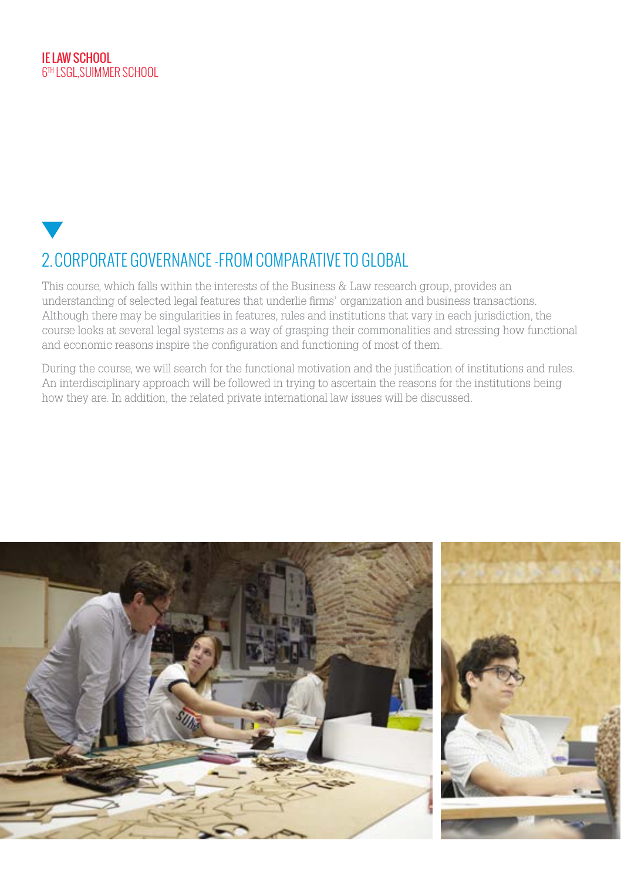# 2.CORPORATE GOVERNANCE -FROM COMPARATIVE TO GLOBAL

This course, which falls within the interests of the Business & Law research group, provides an understanding of selected legal features that underlie firms' organization and business transactions. Although there may be singularities in features, rules and institutions that vary in each jurisdiction, the course looks at several legal systems as a way of grasping their commonalities and stressing how functional and economic reasons inspire the configuration and functioning of most of them.

During the course, we will search for the functional motivation and the justification of institutions and rules. An interdisciplinary approach will be followed in trying to ascertain the reasons for the institutions being how they are. In addition, the related private international law issues will be discussed.

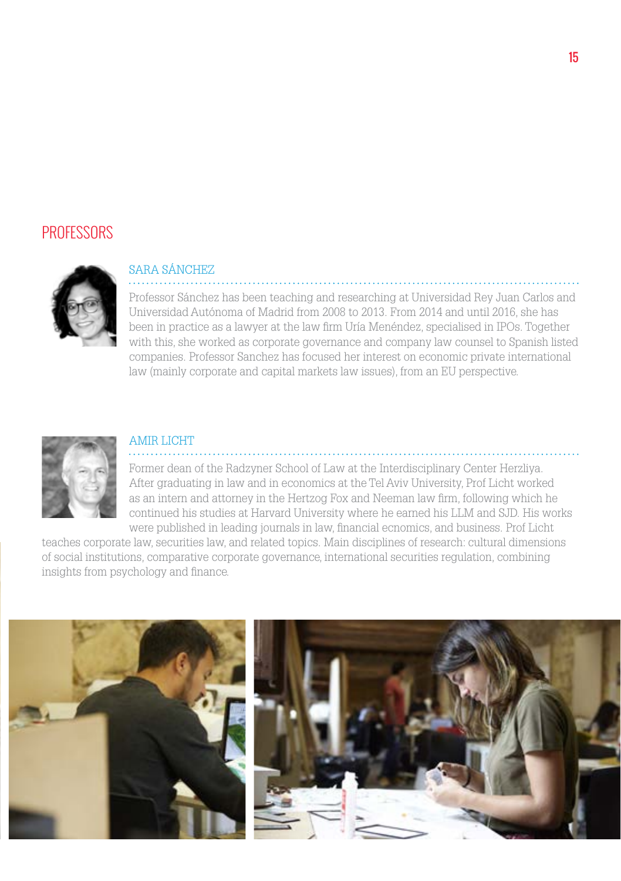### **PROFESSORS**



#### SARA SÁNCHEZ

Professor Sánchez has been teaching and researching at Universidad Rey Juan Carlos and Universidad Autónoma of Madrid from 2008 to 2013. From 2014 and until 2016, she has been in practice as a lawyer at the law firm Uría Menéndez, specialised in IPOs. Together with this, she worked as corporate governance and company law counsel to Spanish listed companies. Professor Sanchez has focused her interest on economic private international law (mainly corporate and capital markets law issues), from an EU perspective.



#### AMIR LICHT

Former dean of the Radzyner School of Law at the Interdisciplinary Center Herzliya. After graduating in law and in economics at the Tel Aviv University, Prof Licht worked as an intern and attorney in the Hertzog Fox and Neeman law firm, following which he continued his studies at Harvard University where he earned his LLM and SJD. His works were published in leading journals in law, financial ecnomics, and business. Prof Licht

teaches corporate law, securities law, and related topics. Main disciplines of research: cultural dimensions of social institutions, comparative corporate governance, international securities regulation, combining insights from psychology and finance.